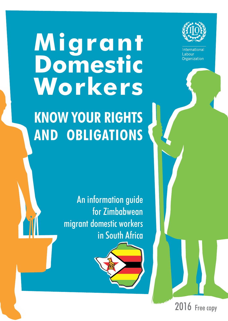# **Migrant Domestic Workers**



**KNOW YOUR RIGHTS AND OBLIGATIONS**

> An information guide for Zimbabwean migrant domestic workers in South Africa

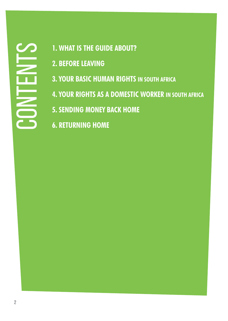# CONTENTS

- **1. WHAT IS THE GUIDE ABOUT?**
- **2. BEFORE LEAVING**
- **3. YOUR BASIC HUMAN RIGHTS IN SOUTH AFRICA**
- **4. YOUR RIGHTS AS A DOMESTIC WORKER IN SOUTH AFRICA**
- **5. SENDING MONEY BACK HOME**
- **6. RETURNING HOME**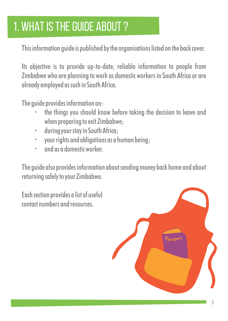# 1. WHAT IS THE GUIDE ABOUT ?

This information guide is published by the organisations listed on the back cover.

Its objective is to provide up-to-date, reliable information to people from Zimbabwe who are planning to work as domestic workers in South Africa or are already employed as such in South Africa.

The guide provides information on:

- the things you should know before taking the decision to leave and when preparing to exit Zimbabwe;
- during your stay in South Africa:
- $\cdot$  your rights and obligations as a human beina:
- and as a domestic worker

The guide also provides information about sending money back home and about returning safely to your Zimbabwe.

Each section provides a list of useful contact numbers and resources.

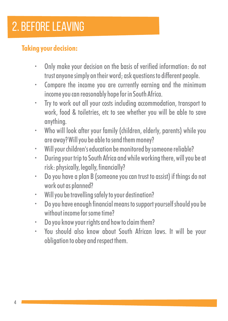# 2. BEFORE LEAVING

### **Taking your decision:**

- Only make your decision on the basis of verified information: do not trust anyone simply on their word; ask questions to different people.
- Compare the income you are currently earning and the minimum income you can reasonably hope for in South Africa.
- Trv to work out all your costs including accommodation, transport to work, food & toiletries, etc to see whether you will be able to save anything.
- Who will look after your family (children, elderly, parents) while you are away? Will you be able to send them money?
- $\cdot$  Will your children's education be monitored by someone reliable?
- During your trip to South Africa and while working there, will you be at risk: physically, legally, financially?
- Do you have a plan B (someone you can trust to assist) if things do not work out as planned?
- $\cdot$  Will you be travelling safely to your destination?
- Do you have enough financial means to support yourself should you be without income for some time?
- Do you know your rights and how to claim them?
- You should also know about South African laws. It will be your obligation to obey and respect them.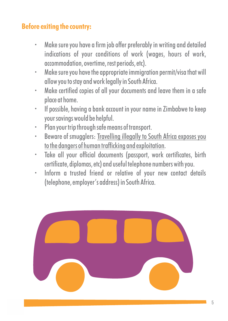### **Before exiting the country:**

- Make sure you have a firm job offer preferably in writing and detailed indications of your conditions of work (wages, hours of work, accommodation, overtime, rest periods, etc).
- $\cdot$  Make sure you have the appropriate immigration permit/visa that will allow you to stay and work legally in South Africa.
- Make certified copies of all your documents and leave them in a safe place at home.
- $\cdot$  If possible, having a bank account in your name in Zimbabwe to keep your savings would be helpful.
- Plan your trip through safe means of transport.
- Beware of smugglers: Travelling illegally to South Africa exposes you to the dangers of human trafficking and exploitation.
- Take all your official documents (passport, work certificates, birth certificate, diplomas, etc) and useful telephone numbers with you.
- $\cdot$  Inform a trusted friend or relative of your new contact details (telephone, employer's address) in South Africa.

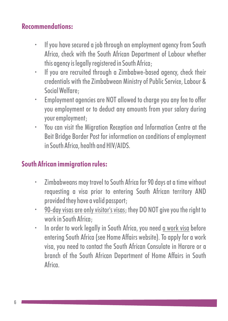### **Recommendations:**

- If you have secured a job through an employment agency from South Africa, check with the South African Department of Labour whether this agency is legally registered in South Africa;
- If you are recruited through a Zimbabwe-based agency, check their credentials with the Zimbabwean Ministry of Public Service, Labour & Social Welfare;
- $\cdot$  Employment agencies are NOT allowed to charge you any fee to offer you employment or to deduct any amounts from your salary during your employment;
- \* You can visit the Migration Reception and Information Centre at the Beit Bridge Border Post for information on conditions of employment in South Africa, health and HIV/AIDS.

### **South African immigration rules:**

- Zimbabweans may travel to South Africa for 90 days at a time without requesting a visa prior to entering South African territory AND provided they have a valid passport;
- 90-day visas are only visitor's visas; they DO NOT give you the right to work in South Africa;
- $\cdot$  In order to work legally in South Africa, you need a work visa before entering South Africa (see Home Affairs website). To apply for a work visa, you need to contact the South African Consulate in Harare or a branch of the South African Department of Home Affairs in South Africa.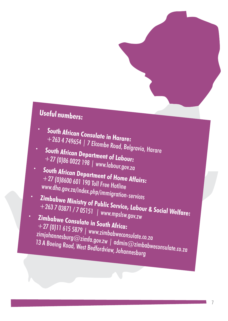## **Useful numbers:**

- **South African Consulate in Harare:**  +263 4 749654 | 7 Elcombe Road, Belgravia, Harare
- **South African Department of Labour:**  +27 (0)86 0022 198 | www.labour.gov.za
- **South African Department of Home Affairs:**  +27 (0)8600 601 190 Toll Free Hotline www.dha.gov.za/index.php/immigration-services
- **Zimbabwe Ministry of Public Service, Labour & Social Welfare:** +263 7 03871 / 7 05151 | www.mpslsw +263703871/705151 | www.mpslsw.gov.zw
- **Zimbabwe Consulate in South Africa:** +27 (0)11 615 5879 | www.zimbabweconsulate.co.za zimjohannesburg@zimfa.gov.zw | admin@zimbabweconsulate.co.za 13 A Boeing Road, West Bedfordview, Johannesburg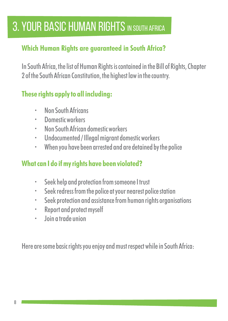# **3. YOUR BASIC HUMAN RIGHTS IN SOUTH AFRICA**

### **Which Human Rights are guaranteed in South Africa?**

In South Africa, the list of Human Rights is contained in the Bill of Rights, Chapter 2 of the South African Constitution, the highest law in the country.

### **These rights apply to all including:**

- Non South Africans
- $\cdot$  Domestic workers
- Non South African domestic workers
- $\cdot$  Undocumented / Illegal migrant domestic workers
- $\cdot$  When you have been arrested and are detained by the police

### **What can I do if my rights have been violated?**

- $\cdot$  Seek help and protection from someone I trust
- Seek redress from the police at your nearest police station
- Seek protection and assistance from human rights organisations
- Report and protect myself
- Join a trade union

Here are some basic rights you enjoy and must respect while in South Africa: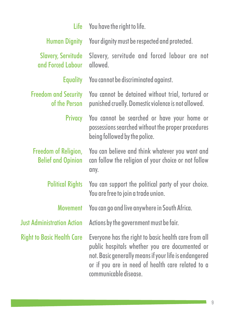| Life                                              | You have the right to life.                                                                                                                                                                                                                   |
|---------------------------------------------------|-----------------------------------------------------------------------------------------------------------------------------------------------------------------------------------------------------------------------------------------------|
| <b>Human Dignity</b>                              | Your dignity must be respected and protected.                                                                                                                                                                                                 |
| <b>Slavery, Servitude</b><br>and Forced Labour    | Slavery, servitude and forced labour are not<br>hewolln                                                                                                                                                                                       |
| <b>Equality</b>                                   | You cannot be discriminated against.                                                                                                                                                                                                          |
| <b>Freedom and Security</b><br>of the Person      | You cannot be detained without trial, tortured or<br>punished cruelly. Domestic violence is not allowed.                                                                                                                                      |
| Privacy                                           | You cannot be searched or have your home or<br>possessions searched without the proper procedures<br>being followed by the police.                                                                                                            |
| Freedom of Religion,<br><b>Belief and Opinion</b> | You can believe and think whatever you want and<br>can follow the religion of your choice or not follow<br>any.                                                                                                                               |
| <b>Political Rights</b>                           | You can support the political party of your choice.<br>You are free to join a trade union.                                                                                                                                                    |
| <b>Movement</b>                                   | You can go and live anywhere in South Africa.                                                                                                                                                                                                 |
| <b>Just Administration Action</b>                 | Actions by the government must be fair.                                                                                                                                                                                                       |
| <b>Right to Basic Health Care</b>                 | Everyone has the right to basic health care from all<br>public hospitals whether you are documented or<br>not. Basic generally means if your life is endangered<br>or if you are in need of health care related to a<br>communicable disease. |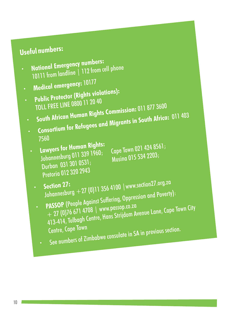### **Useful numbers:**

- **National Emergency numbers:**
- 10111 from landline | 112 from cell phone
- **Medical emergency:**<sup>10177</sup>
- **Public Protector (Rights violations):**
- TOLL FREE LINE 0800 11 20 40 **South African Human Rights Commission:** 011 877 3600
- **Consortium for Refugees and Migrants in South Africa:** 011 403
- 7560
	- **Lawyers for Human Rights:**
	- Durban 031 301 0531; Musina 015 534 2203; Durban 031 301 0531;<br>Pretoria 012 320 2943

Lawyers for Human Rights:<br>Johannesburg 011 339 1960; Cape Town 021 424 8561;<br>Johannesburg 014 Area

- **Section 27: Section 27: CONTEX 64100** | www.section27.org.[za](http://www.section27.org.za)<br>Johannesburg + 27 (0)11 356 4100 | www.section.gnd Poverty **PASSOP** (People Against Suffering, Oppression and Poverty):
- + 27 (0)76 671 4708 | www.passop.co.za 413-414, Tulbagh Centre, Hans Strijdom Avenue Lane, Cape Town City Centre, Cape Town See numbers of Zimbabwe consulate in SA in previous section.
	-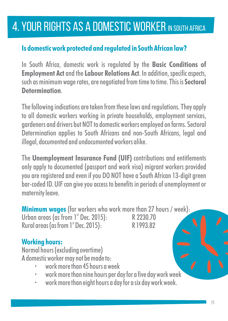# 4. YOUR RIGHTS AS A DOMESTIC WORKER IN SOUTH AFRICA

### **Is domestic work protected and regulated in South African law?**

In South Africa, domestic work is regulated by the **Basic Conditions of Employment Act**and the **Labour Relations Act**. In addition, specific aspects, such as minimum wage rates, are negotiated from time to time. This is **Sectoral Determination**.

The following indications are taken from these laws and regulations. They apply to all domestic workers working in private households, employment services, gardeners and drivers but NOT to domestic workers employed on farms. Sectoral Determination applies to South Africans and non-South Africans, legal and illegal, documented and undocumented workers alike.

The **Unemployment Insurance Fund (UIF)** contributions and entitlements only apply to documented (passport and work visa) migrant workers provided you are registered and even if you DO NOT have a South African 13-digit green bar-coded ID. UIF can give you access to benefits in periods of unemployment or maternity leave.

**Minimum wages** (for workers who work more than 27 hours / week): Urban areas (as from  $1^{\circ}$  Dec. 2015):<br>Rural areas (as from  $1^{\circ}$  Dec. 2015).<br>R 1993.82 Rural areas (as from 1<sup>st</sup> Dec. 2015):

### **Working hours:**

Normal hours (excluding overtime) A domestic worker may not be made to:

- work more than 45 hours a week
- work more than nine hours per day for a five day work week
- work more than eight hours a day for a six day work week.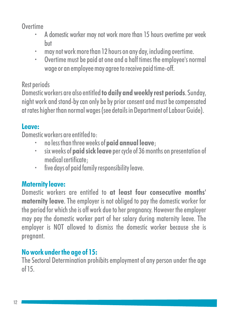**Overtime** 

- A domestic worker may not work more than 15 hours overtime per week but
- may not work more than 12 hours on any day, including overtime.
- Overtime must be paid at one and a half times the employee's normal wage or an employee may agree to receive paid time-off.

### Rest periods

Domestic workers are also entitled **to daily and weekly rest periods**. Sunday, night work and stand-by can only be by prior consent and must be compensated at rates higher than normal wages (see details in Department of Labour Guide).

### **Leave:**

Domestic workers are entitled to:

- <sup>Ÿ</sup> no less than three weeks of **paid annual leave**;
- $\cdot$  six weeks of **paid sick leave** per cycle of 36 months on presentation of medical certificate;
- $\cdot$  five days of paid family responsibility leave.

### **Maternity leave:**

Domestic workers are entitled to **at least four consecutive months' maternity leave**. The employer is not obliged to pay the domestic worker for the period for which she is off work due to her pregnancy. However the employer may pay the domestic worker part of her salary during maternity leave. The employer is NOT allowed to dismiss the domestic worker because she is pregnant.

### **No work under the age of 15:**

The Sectoral Determination prohibits employment of any person under the age of 15.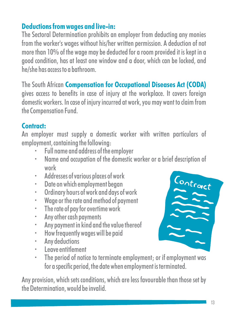### **Deductions from wages and live-in:**

The Sectoral Determination prohibits an employer from deducting any monies from the worker's wages without his/her written permission. A deduction of not more than 10% of the wage may be deducted for a room provided it is kept in a good condition, has at least one window and a door, which can be locked, and he/she has access to a bathroom.

The South African **Compensation for Occupational Diseases Act (CODA)** gives access to benefits in case of injury at the workplace. It covers foreign domestic workers. In case of injury incurred at work, you may want to claim from the Compensation Fund.

### **Contract:**

An employer must supply a domestic worker with written particulars of employment, containing the following:

- Full name and address of the employer
- Name and occupation of the domestic worker or a brief description of work
- Addresses of various places of work
- Date on which employment began
- $\cdot$  Ordinary hours of work and days of work
- $\cdot$  Wage or the rate and method of payment
- The rate of pay for overtime work
- Any other cash payments
- Any payment in kind and the value thereof
- $\cdot$  How frequently wages will be paid
- Any deductions
- Leave entitlement
- The period of notice to terminate employment; or if employment was for a specific period, the date when employment is terminated.

Any provision, which sets conditions, which are less favourable than those set by the Determination, would be invalid.

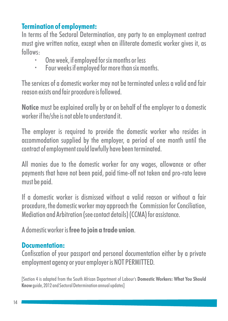### **Termination of employment:**

In terms of the Sectoral Determination, any party to an employment contract must give written notice, except when an illiterate domestic worker gives it, as follows:

- One week, if employed for six months or less<br>• Four weeks if employed for more than six mo
- Four weeks if employed for more than six months.

The services of a domestic worker may not be terminated unless a valid and fair reason exists and fair procedure is followed.

**Notice** must be explained orally by or on behalf of the employer to a domestic worker if he/she is not able to understand it.

The employer is required to provide the domestic worker who resides in accommodation supplied by the employer, a period of one month until the contract of employment could lawfully have been terminated.

All monies due to the domestic worker for any wages, allowance or other payments that have not been paid, paid time-off not taken and pro-rata leave must be paid.

If a domestic worker is dismissed without a valid reason or without a fair procedure, the domestic worker may approach the Commission for Conciliation, Mediation and Arbitration (see contact details) (CCMA) for assistance.

A domestic worker is **free to join a trade union**.

### **Documentation:**

Confiscation of your passport and personal documentation either by a private employment agency or your employer is NOT PERMITTED.

[Section 4 is adapted from the South African Department of Labour's **Domestic Workers: What You Should Know**guide, 2012 and Sectoral Determination annual updates]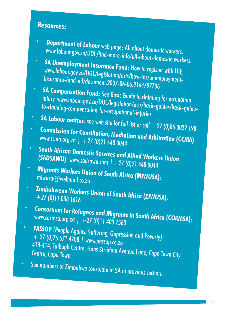### **Resources:**

- r. **Departmentof Labour** web page: All about domestic wor[k](http://www.labour.gov.za/DOL/find-more-info/all-about-domestic-workers)ers,<br>www.labour.gov.za/DOL/find-more-info/all-about-domestic-workers<br>SA Unemployment Insurance Fund: How to register with UIF,
- www.labour.gov.za/DOL/legislation/acts/how-tos/unemployment-<br>insurance-fund-uif/document.2007-06-06.9164797706<br>SA Compensation Fund: See Basic Guide to claiming for occupation
- **SA Compensation Fund:** See Basic Guide to claiming for occupation injury, www.labour.gov.za/DOL/legislation/acts/basic-guides/basic-guideto-claiming-compensation-for-occupational-injuries<br>**SA Labour centres**: see web site for full list or call +27 (0)86 0022 198
- 
- **Commission for Conciliation, Mediation and Arbitration (CCMA):** www.ccma.org.za | +27 (0)21 448 0044
- C. **South African Domestic Services and Allied W (SADSAWU)**: www.sadsawu.com | + 27 (0)21 448 0044
- **Migrants Workers Union of South Africa (MIWUSA):**<br>miwusa@webmail.co.za :
- **Zimbabwean Workers Union of South Africa (ZIWUSA):**<br>+27 (0)11 038 1616
- **Consortium for Refugees and Migrants in South Africa (CORMSA)**: www.cormsa.org.za | +27 (0)11 403 7560
- **PASSOP** (People Against Suffering, Oppression and Poverty):<br>+ 27 (0)76 671 4708 | www.passop.co.za 413-414, Tulbagh Centre, Hans Strijdom Avenue Lane, Cape Town City
- ŸSee numbers of Zimbabwe consulate in SA in previous section.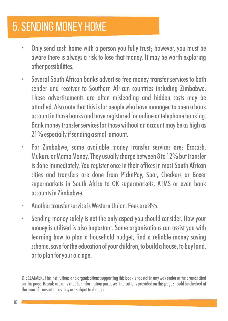# 5. SENDING MONEY HOME

- Only send cash home with a person you fully trust; however, you must be aware there is always a risk to lose that money. It may be worth exploring other possibilities.
- Several South African banks advertise free money transfer services to both sender and receiver to Southern African countries including Zimbabwe. These advertisements are often misleading and hidden costs may be attached. Also note that this is for people who have managed to open a bank account in those banks and have registered for online or telephone banking. Bank money transfer services for those without an account may be as high as 21% especially if sending a small amount.
- $\cdot$  For Zimbabwe, some available money transfer services are: Ecocash, Mukuru or Mama Money. They usually charge between 8 to 12% but transfer is done immediately. You register once in their offices in most South African cities and transfers are done from PicknPay, Spar, Checkers or Boxer supermarkets in South Africa to OK supermarkets, ATMS or even bank accounts in Zimbabwe.
- Another transfer service is Western Union. Fees are 8%
- Sending money safely is not the only aspect you should consider. How your money is utilised is also important. Some organisations can assist you with learning how to plan a household budget, find a reliable money saving scheme, save for the education of your children, to build a house, to buy land, or to plan for your old age.

DISCLAIMER: The institutions and organisations supporting this booklet do not in any way endorse the brands cited on this page. Brands are only cited for information purposes. Indications provided on this page should be checked at the time of transaction as they are subject to change.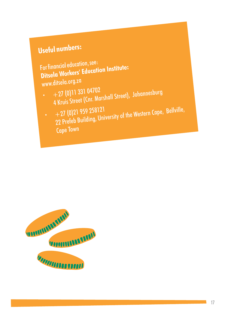### **Useful numbers:**

For financial education, see: **Ditsela Workers' Education Institute:**  www.ditsela.org.za

- $+27(0)11\,331\,04702$
- 4 Kruis Street (Cnr. Marshall Street), Johannesburg
- $+27(0)21959258121$
- 22 Prefeb Building, University of the Western Cape, Bellville, Cape Town

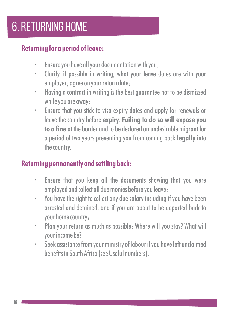# 6. RETURNING HOME

### **Returning for a period of leave:**

- $\cdot$  Ensure you have all your documentation with you;
- Clarify, if possible in writing, what your leave dates are with your employer; agree on your return date;
- $\cdot$  Having a contract in writing is the best guarantee not to be dismissed while you are away;
- $\cdot$  Ensure that you stick to visa expiry dates and apply for renewals or leave the country before **expiry**. **Failing to do so will expose you to a fine** at the border and to be declared an undesirable migrant for a period of two years preventing you from coming back **legally** into the country.

### **Returning permanently and settling back:**

- Ensure that you keep all the documents showing that you were employed and collect all due monies before you leave;
- You have the right to collect any due salary including if you have been arrested and detained, and if you are about to be deported back to your home country;
- Plan your return as much as possible: Where will you stay? What will your income be?
- \* Seek assistance from your ministry of labour if you have left unclaimed benefits in South Africa (see Useful numbers).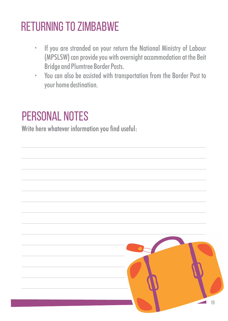# RETURNING TO ZIMBABWE

- \* If you are stranded on your return the National Ministry of Labour (MPSLSW) can provide you with overnight accommodation at the Beit Bridge and Plumtree Border Posts.
- You can also be assisted with transportation from the Border Post to your home destination.

# PERSONAL NOTES

Write here whatever information you find useful: